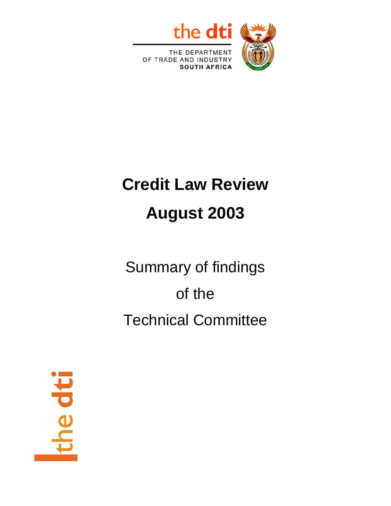

OF TRADE AND INDUSTRY **SOUTH AFRICA** 

# **Credit Law Review August 2003**

Summary of findings of the Technical Committee

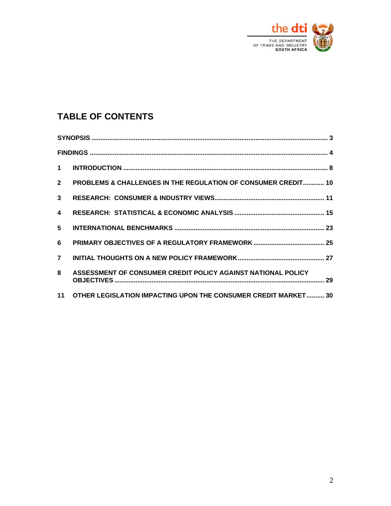

## **TABLE OF CONTENTS**

| $1 \quad$      |                                                                   |  |  |  |  |  |
|----------------|-------------------------------------------------------------------|--|--|--|--|--|
| $2^{\circ}$    | PROBLEMS & CHALLENGES IN THE REGULATION OF CONSUMER CREDIT 10     |  |  |  |  |  |
| $\mathbf{3}$   |                                                                   |  |  |  |  |  |
| 4              |                                                                   |  |  |  |  |  |
| 5 <sup>5</sup> |                                                                   |  |  |  |  |  |
| 6              |                                                                   |  |  |  |  |  |
| $\overline{7}$ |                                                                   |  |  |  |  |  |
| 8              | ASSESSMENT OF CONSUMER CREDIT POLICY AGAINST NATIONAL POLICY      |  |  |  |  |  |
|                | 11 OTHER LEGISLATION IMPACTING UPON THE CONSUMER CREDIT MARKET 30 |  |  |  |  |  |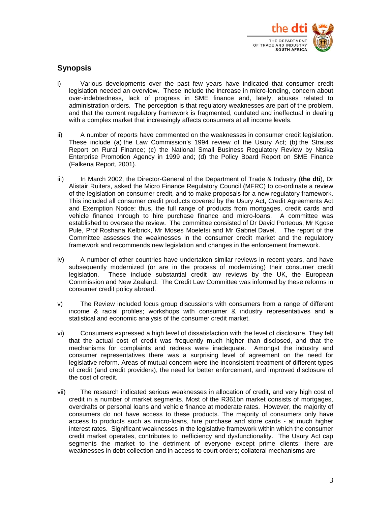

## <span id="page-2-0"></span>**Synopsis**

- i) Various developments over the past few years have indicated that consumer credit legislation needed an overview. These include the increase in micro-lending, concern about over-indebtedness, lack of progress in SME finance and, lately, abuses related to administration orders. The perception is that regulatory weaknesses are part of the problem, and that the current regulatory framework is fragmented, outdated and ineffectual in dealing with a complex market that increasingly affects consumers at all income levels.
- ii) A number of reports have commented on the weaknesses in consumer credit legislation. These include (a) the Law Commission's 1994 review of the Usury Act; (b) the Strauss Report on Rural Finance; (c) the National Small Business Regulatory Review by Ntsika Enterprise Promotion Agency in 1999 and; (d) the Policy Board Report on SME Finance (Falkena Report, 2001).
- iii) In March 2002, the Director-General of the Department of Trade & Industry (**the dti**), Dr Alistair Ruiters, asked the Micro Finance Regulatory Council (MFRC) to co-ordinate a review of the legislation on consumer credit, and to make proposals for a new regulatory framework. This included all consumer credit products covered by the Usury Act, Credit Agreements Act and Exemption Notice: thus, the full range of products from mortgages, credit cards and vehicle finance through to hire purchase finance and micro-loans. A committee was established to oversee the review. The committee consisted of Dr David Porteous, Mr Kgose Pule, Prof Roshana Kelbrick, Mr Moses Moeletsi and Mr Gabriel Davel. The report of the Committee assesses the weaknesses in the consumer credit market and the regulatory framework and recommends new legislation and changes in the enforcement framework.
- iv) A number of other countries have undertaken similar reviews in recent years, and have subsequently modernized (or are in the process of modernizing) their consumer credit legislation. These include substantial credit law reviews by the UK, the European Commission and New Zealand. The Credit Law Committee was informed by these reforms in consumer credit policy abroad.
- v) The Review included focus group discussions with consumers from a range of different income & racial profiles; workshops with consumer & industry representatives and a statistical and economic analysis of the consumer credit market.
- vi) Consumers expressed a high level of dissatisfaction with the level of disclosure. They felt that the actual cost of credit was frequently much higher than disclosed, and that the mechanisms for complaints and redress were inadequate. Amongst the industry and consumer representatives there was a surprising level of agreement on the need for legislative reform. Areas of mutual concern were the inconsistent treatment of different types of credit (and credit providers), the need for better enforcement, and improved disclosure of the cost of credit.
- vii) The research indicated serious weaknesses in allocation of credit, and very high cost of credit in a number of market segments. Most of the R361bn market consists of mortgages, overdrafts or personal loans and vehicle finance at moderate rates. However, the majority of consumers do not have access to these products. The majority of consumers only have access to products such as micro-loans, hire purchase and store cards - at much higher interest rates. Significant weaknesses in the legislative framework within which the consumer credit market operates, contributes to inefficiency and dysfunctionality. The Usury Act cap segments the market to the detriment of everyone except prime clients; there are weaknesses in debt collection and in access to court orders; collateral mechanisms are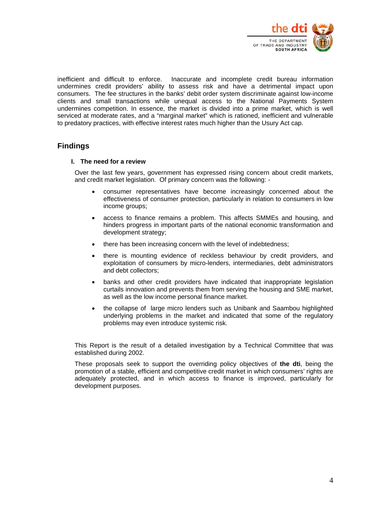

<span id="page-3-0"></span>inefficient and difficult to enforce. Inaccurate and incomplete credit bureau information undermines credit providers' ability to assess risk and have a detrimental impact upon consumers. The fee structures in the banks' debit order system discriminate against low-income clients and small transactions while unequal access to the National Payments System undermines competition. In essence, the market is divided into a prime market, which is well serviced at moderate rates, and a "marginal market" which is rationed, inefficient and vulnerable to predatory practices, with effective interest rates much higher than the Usury Act cap.

## **Findings**

#### **I. The need for a review**

Over the last few years, government has expressed rising concern about credit markets, and credit market legislation. Of primary concern was the following: -

- consumer representatives have become increasingly concerned about the effectiveness of consumer protection, particularly in relation to consumers in low income groups;
- access to finance remains a problem. This affects SMMEs and housing, and hinders progress in important parts of the national economic transformation and development strategy;
- there has been increasing concern with the level of indebtedness;
- there is mounting evidence of reckless behaviour by credit providers, and exploitation of consumers by micro-lenders, intermediaries, debt administrators and debt collectors;
- banks and other credit providers have indicated that inappropriate legislation curtails innovation and prevents them from serving the housing and SME market, as well as the low income personal finance market.
- the collapse of large micro lenders such as Unibank and Saambou highlighted underlying problems in the market and indicated that some of the regulatory problems may even introduce systemic risk.

This Report is the result of a detailed investigation by a Technical Committee that was established during 2002.

These proposals seek to support the overriding policy objectives of **the dti**, being the promotion of a stable, efficient and competitive credit market in which consumers' rights are adequately protected, and in which access to finance is improved, particularly for development purposes.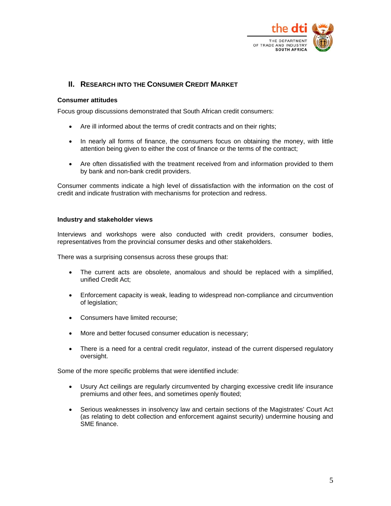

## **II. RESEARCH INTO THE CONSUMER CREDIT MARKET**

#### **Consumer attitudes**

Focus group discussions demonstrated that South African credit consumers:

- Are ill informed about the terms of credit contracts and on their rights;
- In nearly all forms of finance, the consumers focus on obtaining the money, with little attention being given to either the cost of finance or the terms of the contract;
- Are often dissatisfied with the treatment received from and information provided to them by bank and non-bank credit providers.

Consumer comments indicate a high level of dissatisfaction with the information on the cost of credit and indicate frustration with mechanisms for protection and redress.

#### **Industry and stakeholder views**

Interviews and workshops were also conducted with credit providers, consumer bodies, representatives from the provincial consumer desks and other stakeholders.

There was a surprising consensus across these groups that:

- The current acts are obsolete, anomalous and should be replaced with a simplified, unified Credit Act;
- Enforcement capacity is weak, leading to widespread non-compliance and circumvention of legislation;
- Consumers have limited recourse;
- More and better focused consumer education is necessary;
- There is a need for a central credit regulator, instead of the current dispersed regulatory oversight.

Some of the more specific problems that were identified include:

- Usury Act ceilings are regularly circumvented by charging excessive credit life insurance premiums and other fees, and sometimes openly flouted;
- Serious weaknesses in insolvency law and certain sections of the Magistrates' Court Act (as relating to debt collection and enforcement against security) undermine housing and SME finance.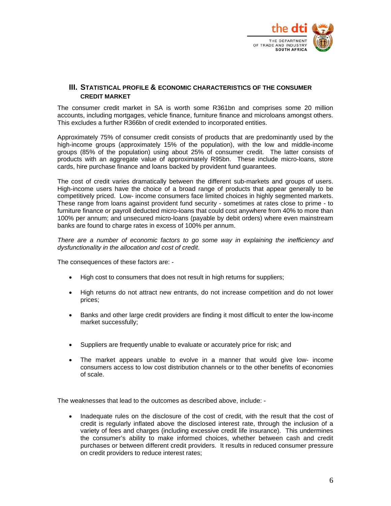

#### **III. STATISTICAL PROFILE & ECONOMIC CHARACTERISTICS OF THE CONSUMER CREDIT MARKET**

The consumer credit market in SA is worth some R361bn and comprises some 20 million accounts, including mortgages, vehicle finance, furniture finance and microloans amongst others. This excludes a further R366bn of credit extended to incorporated entities.

Approximately 75% of consumer credit consists of products that are predominantly used by the high-income groups (approximately 15% of the population), with the low and middle-income groups (85% of the population) using about 25% of consumer credit. The latter consists of products with an aggregate value of approximately R95bn. These include micro-loans, store cards, hire purchase finance and loans backed by provident fund guarantees.

The cost of credit varies dramatically between the different sub-markets and groups of users. High-income users have the choice of a broad range of products that appear generally to be competitively priced. Low- income consumers face limited choices in highly segmented markets. These range from loans against provident fund security - sometimes at rates close to prime - to furniture finance or payroll deducted micro-loans that could cost anywhere from 40% to more than 100% per annum; and unsecured micro-loans (payable by debit orders) where even mainstream banks are found to charge rates in excess of 100% per annum.

*There are a number of economic factors to go some way in explaining the inefficiency and dysfunctionality in the allocation and cost of credit*.

The consequences of these factors are: -

- High cost to consumers that does not result in high returns for suppliers;
- High returns do not attract new entrants, do not increase competition and do not lower prices;
- Banks and other large credit providers are finding it most difficult to enter the low-income market successfully;
- Suppliers are frequently unable to evaluate or accurately price for risk; and
- The market appears unable to evolve in a manner that would give low- income consumers access to low cost distribution channels or to the other benefits of economies of scale.

The weaknesses that lead to the outcomes as described above, include: -

• Inadequate rules on the disclosure of the cost of credit, with the result that the cost of credit is regularly inflated above the disclosed interest rate, through the inclusion of a variety of fees and charges (including excessive credit life insurance). This undermines the consumer's ability to make informed choices, whether between cash and credit purchases or between different credit providers. It results in reduced consumer pressure on credit providers to reduce interest rates;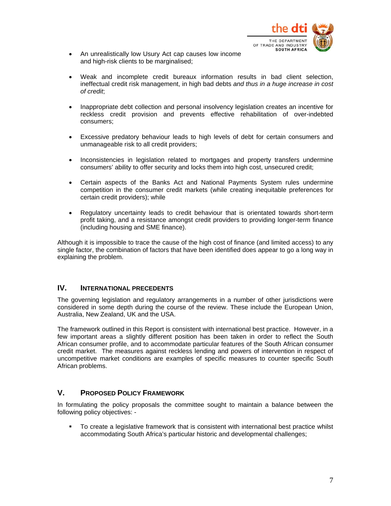

- An unrealistically low Usury Act cap causes low income and high-risk clients to be marginalised;
- Weak and incomplete credit bureaux information results in bad client selection, ineffectual credit risk management, in high bad debts *and thus in a huge increase in cost of credit*;
- Inappropriate debt collection and personal insolvency legislation creates an incentive for reckless credit provision and prevents effective rehabilitation of over-indebted consumers;
- Excessive predatory behaviour leads to high levels of debt for certain consumers and unmanageable risk to all credit providers;
- Inconsistencies in legislation related to mortgages and property transfers undermine consumers' ability to offer security and locks them into high cost, unsecured credit;
- Certain aspects of the Banks Act and National Payments System rules undermine competition in the consumer credit markets (while creating inequitable preferences for certain credit providers); while
- Regulatory uncertainty leads to credit behaviour that is orientated towards short-term profit taking, and a resistance amongst credit providers to providing longer-term finance (including housing and SME finance).

Although it is impossible to trace the cause of the high cost of finance (and limited access) to any single factor, the combination of factors that have been identified does appear to go a long way in explaining the problem.

#### **IV. INTERNATIONAL PRECEDENTS**

The governing legislation and regulatory arrangements in a number of other jurisdictions were considered in some depth during the course of the review. These include the European Union, Australia, New Zealand, UK and the USA.

The framework outlined in this Report is consistent with international best practice. However, in a few important areas a slightly different position has been taken in order to reflect the South African consumer profile, and to accommodate particular features of the South African consumer credit market. The measures against reckless lending and powers of intervention in respect of uncompetitive market conditions are examples of specific measures to counter specific South African problems.

## **V. PROPOSED POLICY FRAMEWORK**

In formulating the policy proposals the committee sought to maintain a balance between the following policy objectives: -

 To create a legislative framework that is consistent with international best practice whilst accommodating South Africa's particular historic and developmental challenges;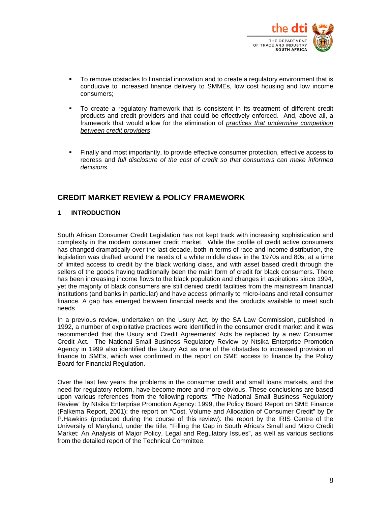

- To remove obstacles to financial innovation and to create a regulatory environment that is conducive to increased finance delivery to SMMEs, low cost housing and low income consumers;
- To create a regulatory framework that is consistent in its treatment of different credit products and credit providers and that could be effectively enforced. And, above all, a framework that would allow for the elimination of *practices that undermine competition between credit providers*;
- Finally and most importantly, to provide effective consumer protection, effective access to redress and *full disclosure of the cost of credit so that consumers can make informed decisions*.

## **CREDIT MARKET REVIEW & POLICY FRAMEWORK**

#### **1 INTRODUCTION**

South African Consumer Credit Legislation has not kept track with increasing sophistication and complexity in the modern consumer credit market. While the profile of credit active consumers has changed dramatically over the last decade, both in terms of race and income distribution, the legislation was drafted around the needs of a white middle class in the 1970s and 80s, at a time of limited access to credit by the black working class, and with asset based credit through the sellers of the goods having traditionally been the main form of credit for black consumers. There has been increasing income flows to the black population and changes in aspirations since 1994, yet the majority of black consumers are still denied credit facilities from the mainstream financial institutions (and banks in particular) and have access primarily to micro-loans and retail consumer finance. A gap has emerged between financial needs and the products available to meet such needs.

In a previous review, undertaken on the Usury Act, by the SA Law Commission, published in 1992, a number of exploitative practices were identified in the consumer credit market and it was recommended that the Usury and Credit Agreements' Acts be replaced by a new Consumer Credit Act. The National Small Business Regulatory Review by Ntsika Enterprise Promotion Agency in 1999 also identified the Usury Act as one of the obstacles to increased provision of finance to SMEs, which was confirmed in the report on SME access to finance by the Policy Board for Financial Regulation.

Over the last few years the problems in the consumer credit and small loans markets, and the need for regulatory reform, have become more and more obvious. These conclusions are based upon various references from the following reports: "The National Small Business Regulatory Review" by Ntsika Enterprise Promotion Agency: 1999, the Policy Board Report on SME Finance (Falkema Report, 2001): the report on "Cost, Volume and Allocation of Consumer Credit" by Dr P.Hawkins (produced during the course of this review): the report by the IRIS Centre of the University of Maryland, under the title, "Filling the Gap in South Africa's Small and Micro Credit Market: An Analysis of Major Policy, Legal and Regulatory Issues", as well as various sections from the detailed report of the Technical Committee.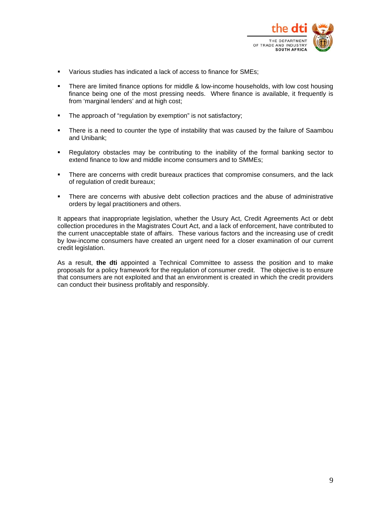

- Various studies has indicated a lack of access to finance for SMEs:
- There are limited finance options for middle & low-income households, with low cost housing finance being one of the most pressing needs. Where finance is available, it frequently is from 'marginal lenders' and at high cost;
- **The approach of "regulation by exemption" is not satisfactory;**
- There is a need to counter the type of instability that was caused by the failure of Saambou and Unibank;
- Regulatory obstacles may be contributing to the inability of the formal banking sector to extend finance to low and middle income consumers and to SMMEs;
- **There are concerns with credit bureaux practices that compromise consumers, and the lack** of regulation of credit bureaux;
- **There are concerns with abusive debt collection practices and the abuse of administrative** orders by legal practitioners and others.

It appears that inappropriate legislation, whether the Usury Act, Credit Agreements Act or debt collection procedures in the Magistrates Court Act, and a lack of enforcement, have contributed to the current unacceptable state of affairs. These various factors and the increasing use of credit by low-income consumers have created an urgent need for a closer examination of our current credit legislation.

As a result, **the dti** appointed a Technical Committee to assess the position and to make proposals for a policy framework for the regulation of consumer credit. The objective is to ensure that consumers are not exploited and that an environment is created in which the credit providers can conduct their business profitably and responsibly.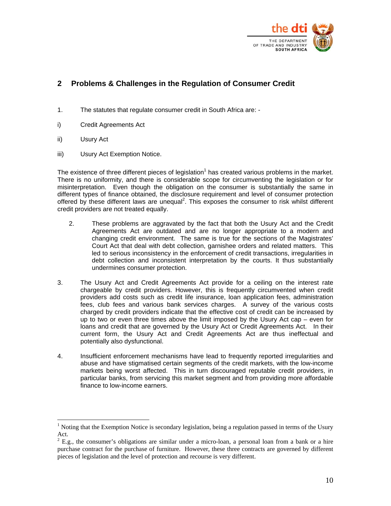

## **2 Problems & Challenges in the Regulation of Consumer Credit**

- 1. The statutes that regulate consumer credit in South Africa are: -
- i) Credit Agreements Act
- ii) Usury Act

 $\overline{a}$ 

iii) Usury Act Exemption Notice.

The existence of three different pieces of legislation<sup>[1](#page-9-0)</sup> has created various problems in the market. There is no uniformity, and there is considerable scope for circumventing the legislation or for misinterpretation. Even though the obligation on the consumer is substantially the same in different types of finance obtained, the disclosure requirement and level of consumer protection offered by these different laws are unequal<sup>[2](#page-9-1)</sup>. This exposes the consumer to risk whilst different credit providers are not treated equally.

- 2. These problems are aggravated by the fact that both the Usury Act and the Credit Agreements Act are outdated and are no longer appropriate to a modern and changing credit environment. The same is true for the sections of the Magistrates' Court Act that deal with debt collection, garnishee orders and related matters. This led to serious inconsistency in the enforcement of credit transactions, irregularities in debt collection and inconsistent interpretation by the courts. It thus substantially undermines consumer protection.
- 3. The Usury Act and Credit Agreements Act provide for a ceiling on the interest rate chargeable by credit providers. However, this is frequently circumvented when credit providers add costs such as credit life insurance, loan application fees, administration fees, club fees and various bank services charges. A survey of the various costs charged by credit providers indicate that the effective cost of credit can be increased by up to two or even three times above the limit imposed by the Usury Act cap – even for loans and credit that are governed by the Usury Act or Credit Agreements Act. In their current form, the Usury Act and Credit Agreements Act are thus ineffectual and potentially also dysfunctional.
- 4. Insufficient enforcement mechanisms have lead to frequently reported irregularities and abuse and have stigmatised certain segments of the credit markets, with the low-income markets being worst affected. This in turn discouraged reputable credit providers, in particular banks, from servicing this market segment and from providing more affordable finance to low-income earners.

<span id="page-9-0"></span><sup>&</sup>lt;sup>1</sup> Noting that the Exemption Notice is secondary legislation, being a regulation passed in terms of the Usury Act.

<span id="page-9-1"></span> $2$  E.g., the consumer's obligations are similar under a micro-loan, a personal loan from a bank or a hire purchase contract for the purchase of furniture. However, these three contracts are governed by different pieces of legislation and the level of protection and recourse is very different.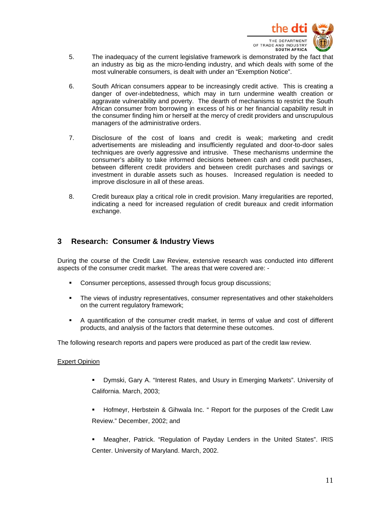

- 5. The inadequacy of the current legislative framework is demonstrated by the fact that an industry as big as the micro-lending industry, and which deals with some of the most vulnerable consumers, is dealt with under an "Exemption Notice".
- 6. South African consumers appear to be increasingly credit active. This is creating a danger of over-indebtedness, which may in turn undermine wealth creation or aggravate vulnerability and poverty. The dearth of mechanisms to restrict the South African consumer from borrowing in excess of his or her financial capability result in the consumer finding him or herself at the mercy of credit providers and unscrupulous managers of the administrative orders.
- 7. Disclosure of the cost of loans and credit is weak; marketing and credit advertisements are misleading and insufficiently regulated and door-to-door sales techniques are overly aggressive and intrusive. These mechanisms undermine the consumer's ability to take informed decisions between cash and credit purchases, between different credit providers and between credit purchases and savings or investment in durable assets such as houses. Increased regulation is needed to improve disclosure in all of these areas.
- 8. Credit bureaux play a critical role in credit provision. Many irregularities are reported, indicating a need for increased regulation of credit bureaux and credit information exchange.

## **3 Research: Consumer & Industry Views**

During the course of the Credit Law Review, extensive research was conducted into different aspects of the consumer credit market. The areas that were covered are: -

- Consumer perceptions, assessed through focus group discussions;
- **The views of industry representatives, consumer representatives and other stakeholders** on the current regulatory framework;
- A quantification of the consumer credit market, in terms of value and cost of different products, and analysis of the factors that determine these outcomes.

The following research reports and papers were produced as part of the credit law review.

#### Expert Opinion

- Dymski, Gary A. "Interest Rates, and Usury in Emerging Markets". University of California. March, 2003;
- Hofmeyr, Herbstein & Gihwala Inc. " Report for the purposes of the Credit Law Review." December, 2002; and
- Meagher, Patrick. "Regulation of Payday Lenders in the United States". IRIS Center. University of Maryland. March, 2002.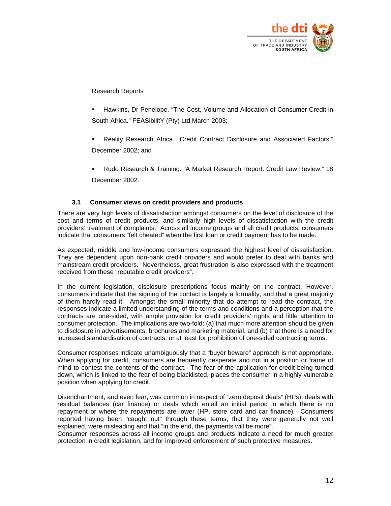

#### Research Reports

- Hawkins, Dr Penelope. "The Cost, Volume and Allocation of Consumer Credit in South Africa." FEASibilitY (Pty) Ltd March 2003;
- Reality Research Africa. "Credit Contract Disclosure and Associated Factors." December 2002; and
- Rudo Research & Training. "A Market Research Report: Credit Law Review." 18 December 2002.

#### **3.1 Consumer views on credit providers and products**

There are very high levels of dissatisfaction amongst consumers on the level of disclosure of the cost and terms of credit products, and similarly high levels of dissatisfaction with the credit providers' treatment of complaints. Across all income groups and all credit products, consumers indicate that consumers "felt cheated" when the first loan or credit payment has to be made.

As expected, middle and low-income consumers expressed the highest level of dissatisfaction. They are dependent upon non-bank credit providers and would prefer to deal with banks and mainstream credit providers. Nevertheless, great frustration is also expressed with the treatment received from these "reputable credit providers".

In the current legislation, disclosure prescriptions focus mainly on the contract. However, consumers indicate that the signing of the contact is largely a formality, and that a great majority of them hardly read it. Amongst the small minority that do attempt to read the contract, the responses indicate a limited understanding of the terms and conditions and a perception that the contracts are one-sided, with ample provision for credit providers' rights and little attention to consumer protection. The implications are two-fold: (a) that much more attention should be given to disclosure in advertisements, brochures and marketing material, and (b) that there is a need for increased standardisation of contracts, or at least for prohibition of one-sided contracting terms.

Consumer responses indicate unambiguously that a "buyer beware" approach is not appropriate. When applying for credit, consumers are frequently desperate and not in a position or frame of mind to contest the contents of the contract. The fear of the application for credit being turned down, which is linked to the fear of being blacklisted, places the consumer in a highly vulnerable position when applying for credit.

Disenchantment, and even fear, was common in respect of "zero deposit deals" (HPs); deals with residual balances (car finance) or deals which entail an initial period in which there is no repayment or where the repayments are lower (HP, store card and car finance). Consumers reported having been "caught out" through these terms, that they were generally not well explained, were misleading and that "in the end, the payments will be more".

Consumer responses across all income groups and products indicate a need for much greater protection in credit legislation, and for improved enforcement of such protective measures.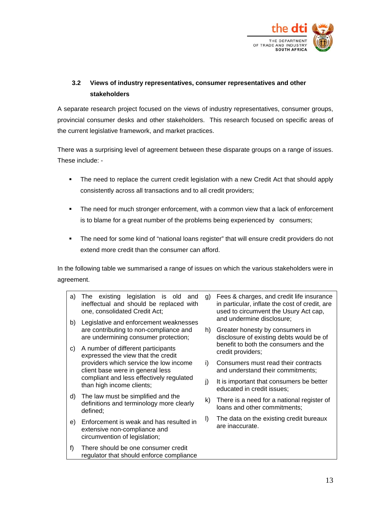

## **3.2 Views of industry representatives, consumer representatives and other stakeholders**

A separate research project focused on the views of industry representatives, consumer groups, provincial consumer desks and other stakeholders. This research focused on specific areas of the current legislative framework, and market practices.

There was a surprising level of agreement between these disparate groups on a range of issues. These include: -

- The need to replace the current credit legislation with a new Credit Act that should apply consistently across all transactions and to all credit providers;
- **The need for much stronger enforcement, with a common view that a lack of enforcement** is to blame for a great number of the problems being experienced by consumers;
- The need for some kind of "national loans register" that will ensure credit providers do not extend more credit than the consumer can afford.

In the following table we summarised a range of issues on which the various stakeholders were in agreement.

| a) | existing legislation is old and<br>The<br>ineffectual and should be replaced with<br>one, consolidated Credit Act;                                  | g)      | Fees & charges, and credit life insurance<br>in particular, inflate the cost of credit, are<br>used to circumvent the Usury Act cap, |
|----|-----------------------------------------------------------------------------------------------------------------------------------------------------|---------|--------------------------------------------------------------------------------------------------------------------------------------|
| b) | Legislative and enforcement weaknesses<br>are contributing to non-compliance and<br>are undermining consumer protection;                            |         | and undermine disclosure;<br>Greater honesty by consumers in                                                                         |
|    |                                                                                                                                                     |         | h)<br>disclosure of existing debts would be of<br>benefit to both the consumers and the<br>credit providers;                         |
| C) | A number of different participants<br>expressed the view that the credit                                                                            |         |                                                                                                                                      |
|    | providers which service the low income<br>client base were in general less<br>compliant and less effectively regulated<br>than high income clients; | i)      | Consumers must read their contracts<br>and understand their commitments;                                                             |
|    |                                                                                                                                                     | j)      | It is important that consumers be better<br>educated in credit issues;                                                               |
| d) | The law must be simplified and the<br>definitions and terminology more clearly<br>defined;                                                          | k)      | There is a need for a national register of<br>loans and other commitments;                                                           |
| e) | Enforcement is weak and has resulted in<br>extensive non-compliance and<br>circumvention of legislation;                                            | $\vert$ | The data on the existing credit bureaux<br>are inaccurate.                                                                           |
| f) | There should be one consumer credit<br>regulator that should enforce compliance                                                                     |         |                                                                                                                                      |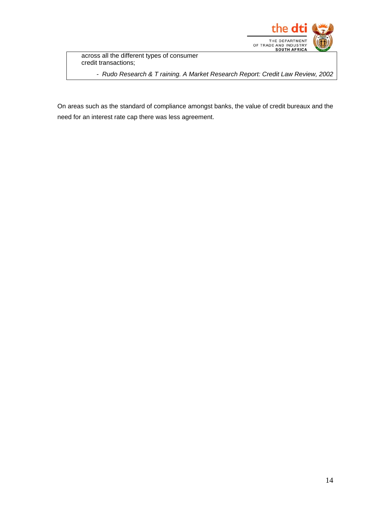

across all the different types of consumer credit transactions;

*- Rudo Research & T raining. A Market Research Report: Credit Law Review, 2002* 

On areas such as the standard of compliance amongst banks, the value of credit bureaux and the need for an interest rate cap there was less agreement.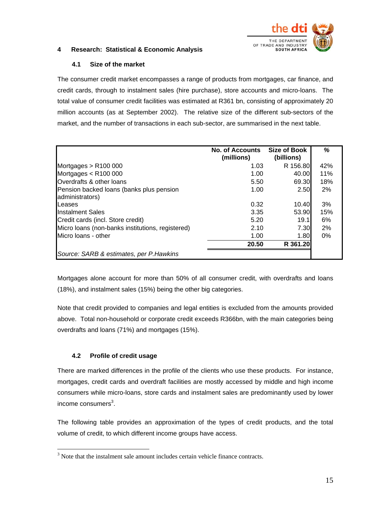

#### **4 Research: Statistical & Economic Analysis**

#### **4.1 Size of the market**

The consumer credit market encompasses a range of products from mortgages, car finance, and credit cards, through to instalment sales (hire purchase), store accounts and micro-loans. The total value of consumer credit facilities was estimated at R361 bn, consisting of approximately 20 million accounts (as at September 2002). The relative size of the different sub-sectors of the market, and the number of transactions in each sub-sector, are summarised in the next table.

|                                                             | <b>No. of Accounts</b><br>(millions) | Size of Book<br>(billions) | %     |
|-------------------------------------------------------------|--------------------------------------|----------------------------|-------|
| Mortgages $>$ R100 000                                      | 1.03                                 | R 156.80                   | 42%   |
| Mortgages $<$ R100 000                                      | 1.00                                 | 40.00                      | 11%   |
| Overdrafts & other loans                                    | 5.50                                 | 69.30                      | 18%   |
| Pension backed loans (banks plus pension<br>administrators) | 1.00                                 | 2.50                       | 2%    |
| Leases                                                      | 0.32                                 | 10.40                      | 3%    |
| Instalment Sales                                            | 3.35                                 | 53.90                      | 15%   |
| Credit cards (incl. Store credit)                           | 5.20                                 | 19.1                       | 6%    |
| Micro Ioans (non-banks institutions, registered)            | 2.10                                 | 7.30                       | 2%    |
| Micro Joans - other                                         | 1.00                                 | 1.80                       | $0\%$ |
|                                                             | 20.50                                | R 361.20                   |       |
| Source: SARB & estimates, per P. Hawkins                    |                                      |                            |       |

Mortgages alone account for more than 50% of all consumer credit, with overdrafts and loans (18%), and instalment sales (15%) being the other big categories.

Note that credit provided to companies and legal entities is excluded from the amounts provided above. Total non-household or corporate credit exceeds R366bn, with the main categories being overdrafts and loans (71%) and mortgages (15%).

## **4.2 Profile of credit usage**

 $\overline{a}$ 

There are marked differences in the profile of the clients who use these products. For instance, mortgages, credit cards and overdraft facilities are mostly accessed by middle and high income consumers while micro-loans, store cards and instalment sales are predominantly used by lower income consumers<sup>3</sup>[.](#page-14-0)

The following table provides an approximation of the types of credit products, and the total volume of credit, to which different income groups have access.

<span id="page-14-0"></span><sup>&</sup>lt;sup>3</sup> Note that the instalment sale amount includes certain vehicle finance contracts.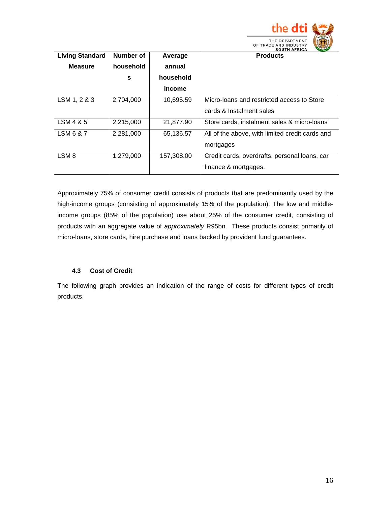

| <b>Living Standard</b> | Number of | Average    | <b>SOUTH AFRICA</b><br><b>Products</b>          |
|------------------------|-----------|------------|-------------------------------------------------|
| <b>Measure</b>         | household | annual     |                                                 |
|                        | s         | household  |                                                 |
|                        |           | income     |                                                 |
| LSM 1, 2 & 3           | 2,704,000 | 10,695.59  | Micro-loans and restricted access to Store      |
|                        |           |            | cards & Instalment sales                        |
| LSM 4 & 5              | 2,215,000 | 21,877.90  | Store cards, instalment sales & micro-loans     |
| LSM 6 & 7              | 2,281,000 | 65,136.57  | All of the above, with limited credit cards and |
|                        |           |            | mortgages                                       |
| LSM <sub>8</sub>       | 1,279,000 | 157,308.00 | Credit cards, overdrafts, personal loans, car   |
|                        |           |            | finance & mortgages.                            |

Approximately 75% of consumer credit consists of products that are predominantly used by the high-income groups (consisting of approximately 15% of the population). The low and middleincome groups (85% of the population) use about 25% of the consumer credit, consisting of products with an aggregate value of *approximately* R95bn. These products consist primarily of micro-loans, store cards, hire purchase and loans backed by provident fund guarantees.

## **4.3 Cost of Credit**

The following graph provides an indication of the range of costs for different types of credit products.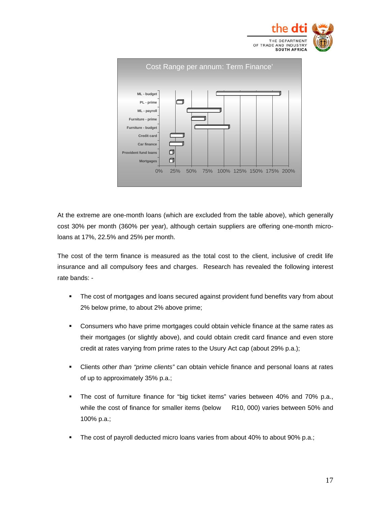



At the extreme are one-month loans (which are excluded from the table above), which generally cost 30% per month (360% per year), although certain suppliers are offering one-month microloans at 17%, 22.5% and 25% per month.

The cost of the term finance is measured as the total cost to the client, inclusive of credit life insurance and all compulsory fees and charges. Research has revealed the following interest rate bands: -

- **The cost of mortgages and loans secured against provident fund benefits vary from about** 2% below prime, to about 2% above prime;
- **Consumers who have prime mortgages could obtain vehicle finance at the same rates as** their mortgages (or slightly above), and could obtain credit card finance and even store credit at rates varying from prime rates to the Usury Act cap (about 29% p.a.);
- Clients *other than "prime clients"* can obtain vehicle finance and personal loans at rates of up to approximately 35% p.a.;
- The cost of furniture finance for "big ticket items" varies between 40% and 70% p.a., while the cost of finance for smaller items (below R10, 000) varies between 50% and 100% p.a.;
- The cost of payroll deducted micro loans varies from about 40% to about 90% p.a.;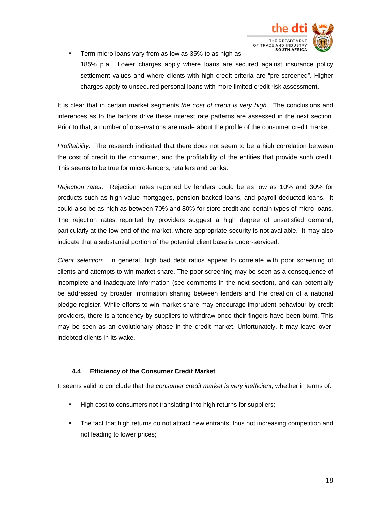

**Term micro-loans vary from as low as 35% to as high as** 185% p.a. Lower charges apply where loans are secured against insurance policy settlement values and where clients with high credit criteria are "pre-screened". Higher charges apply to unsecured personal loans with more limited credit risk assessment.

It is clear that in certain market segments *the cost of credit is very high*. The conclusions and inferences as to the factors drive these interest rate patterns are assessed in the next section. Prior to that, a number of observations are made about the profile of the consumer credit market.

*Profitability*: The research indicated that there does not seem to be a high correlation between the cost of credit to the consumer, and the profitability of the entities that provide such credit. This seems to be true for micro-lenders, retailers and banks.

*Rejection rates*: Rejection rates reported by lenders could be as low as 10% and 30% for products such as high value mortgages, pension backed loans, and payroll deducted loans. It could also be as high as between 70% and 80% for store credit and certain types of micro-loans. The rejection rates reported by providers suggest a high degree of unsatisfied demand, particularly at the low end of the market, where appropriate security is not available. It may also indicate that a substantial portion of the potential client base is under-serviced.

*Client selection*: In general, high bad debt ratios appear to correlate with poor screening of clients and attempts to win market share. The poor screening may be seen as a consequence of incomplete and inadequate information (see comments in the next section), and can potentially be addressed by broader information sharing between lenders and the creation of a national pledge register. While efforts to win market share may encourage imprudent behaviour by credit providers, there is a tendency by suppliers to withdraw once their fingers have been burnt. This may be seen as an evolutionary phase in the credit market. Unfortunately, it may leave overindebted clients in its wake.

#### **4.4 Efficiency of the Consumer Credit Market**

It seems valid to conclude that the *consumer credit market is very inefficient*, whether in terms of:

- High cost to consumers not translating into high returns for suppliers;
- The fact that high returns do not attract new entrants, thus not increasing competition and not leading to lower prices;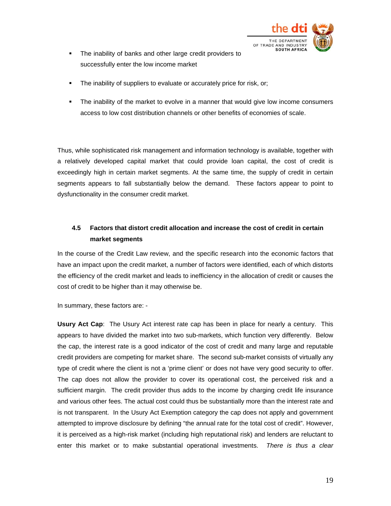

- The inability of banks and other large credit providers to successfully enter the low income market
- The inability of suppliers to evaluate or accurately price for risk, or;
- The inability of the market to evolve in a manner that would give low income consumers access to low cost distribution channels or other benefits of economies of scale.

Thus, while sophisticated risk management and information technology is available, together with a relatively developed capital market that could provide loan capital, the cost of credit is exceedingly high in certain market segments. At the same time, the supply of credit in certain segments appears to fall substantially below the demand. These factors appear to point to dysfunctionality in the consumer credit market.

## **4.5 Factors that distort credit allocation and increase the cost of credit in certain market segments**

In the course of the Credit Law review, and the specific research into the economic factors that have an impact upon the credit market, a number of factors were identified, each of which distorts the efficiency of the credit market and leads to inefficiency in the allocation of credit or causes the cost of credit to be higher than it may otherwise be.

In summary, these factors are: -

**Usury Act Cap**: The Usury Act interest rate cap has been in place for nearly a century. This appears to have divided the market into two sub-markets, which function very differently. Below the cap, the interest rate is a good indicator of the cost of credit and many large and reputable credit providers are competing for market share. The second sub-market consists of virtually any type of credit where the client is not a 'prime client' or does not have very good security to offer. The cap does not allow the provider to cover its operational cost, the perceived risk and a sufficient margin. The credit provider thus adds to the income by charging credit life insurance and various other fees. The actual cost could thus be substantially more than the interest rate and is not transparent. In the Usury Act Exemption category the cap does not apply and government attempted to improve disclosure by defining "the annual rate for the total cost of credit". However, it is perceived as a high-risk market (including high reputational risk) and lenders are reluctant to enter this market or to make substantial operational investments. *There is thus a clear*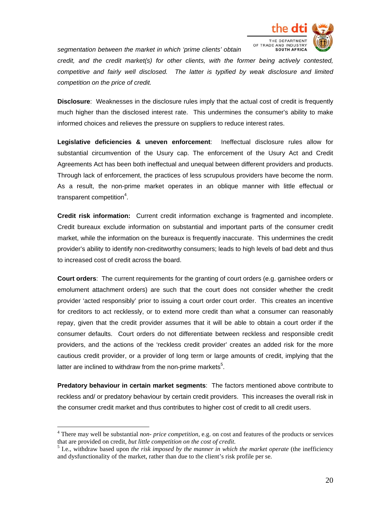

*segmentation between the market in which 'prime clients' obtain* 

*credit, and the credit market(s) for other clients, with the former being actively contested, competitive and fairly well disclosed. The latter is typified by weak disclosure and limited competition on the price of credit.* 

**Disclosure**: Weaknesses in the disclosure rules imply that the actual cost of credit is frequently much higher than the disclosed interest rate. This undermines the consumer's ability to make informed choices and relieves the pressure on suppliers to reduce interest rates.

**Legislative deficiencies & uneven enforcement**: Ineffectual disclosure rules allow for substantial circumvention of the Usury cap. The enforcement of the Usury Act and Credit Agreements Act has been both ineffectual and unequal between different providers and products. Through lack of enforcement, the practices of less scrupulous providers have become the norm. As a result, the non-prime market operates in an oblique manner with little effectual or transparent competition<sup>4</sup>[.](#page-19-0)

**Credit risk information:** Current credit information exchange is fragmented and incomplete. Credit bureaux exclude information on substantial and important parts of the consumer credit market, while the information on the bureaux is frequently inaccurate. This undermines the credit provider's ability to identify non-creditworthy consumers; leads to high levels of bad debt and thus to increased cost of credit across the board.

**Court orders**: The current requirements for the granting of court orders (e.g. garnishee orders or emolument attachment orders) are such that the court does not consider whether the credit provider 'acted responsibly' prior to issuing a court order court order. This creates an incentive for creditors to act recklessly, or to extend more credit than what a consumer can reasonably repay, given that the credit provider assumes that it will be able to obtain a court order if the consumer defaults. Court orders do not differentiate between reckless and responsible credit providers, and the actions of the 'reckless credit provider' creates an added risk for the more cautious credit provider, or a provider of long term or large amounts of credit, implying that the latter are inclined to withdraw from the non-prime markets $5$ [.](#page-19-1)

**Predatory behaviour in certain market segments**: The factors mentioned above contribute to reckless and/ or predatory behaviour by certain credit providers. This increases the overall risk in the consumer credit market and thus contributes to higher cost of credit to all credit users.

 $\overline{a}$ 

<span id="page-19-0"></span><sup>4</sup> There may well be substantial *non- price competition*, e.g. on cost and features of the products or services that are provided on credit, *but little competition on the cost of credit*. 5

<span id="page-19-1"></span> $<sup>5</sup>$  I.e., withdraw based upon *the risk imposed by the manner in which the market operate* (the inefficiency</sup> and dysfunctionality of the market, rather than due to the client's risk profile per se.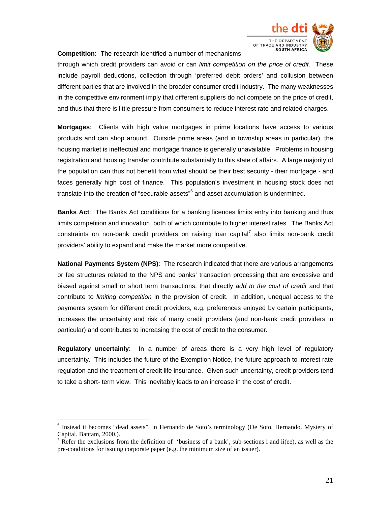

**Competition**: The research identified a number of mechanisms

through which credit providers can avoid or can *limit competition on the price of credit.* These include payroll deductions, collection through 'preferred debit orders' and collusion between different parties that are involved in the broader consumer credit industry. The many weaknesses in the competitive environment imply that different suppliers do not compete on the price of credit, and thus that there is little pressure from consumers to reduce interest rate and related charges.

**Mortgages**: Clients with high value mortgages in prime locations have access to various products and can shop around. Outside prime areas (and in township areas in particular), the housing market is ineffectual and mortgage finance is generally unavailable. Problems in housing registration and housing transfer contribute substantially to this state of affairs. A large majority of the population can thus not benefit from what should be their best security - their mortgage - and faces generally high cost of finance. This population's investment in housing stock does not translateinto the creation of "securable assets"<sup>6</sup> and asset accumulation is undermined.

**Banks Act**: The Banks Act conditions for a banking licences limits entry into banking and thus limits competition and innovation, both of which contribute to higher interest rates. The Banks Act constraintson non-bank credit providers on raising loan capital<sup>7</sup> also limits non-bank credit providers' ability to expand and make the market more competitive.

**National Payments System (NPS)**: The research indicated that there are various arrangements or fee structures related to the NPS and banks' transaction processing that are excessive and biased against small or short term transactions; that directly *add to the cost of credit* and that contribute to *limiting competition* in the provision of credit. In addition, unequal access to the payments system for different credit providers, e.g. preferences enjoyed by certain participants, increases the uncertainty and risk of many credit providers (and non-bank credit providers in particular) and contributes to increasing the cost of credit to the consumer.

**Regulatory uncertainly**: In a number of areas there is a very high level of regulatory uncertainty. This includes the future of the Exemption Notice, the future approach to interest rate regulation and the treatment of credit life insurance. Given such uncertainty, credit providers tend to take a short- term view. This inevitably leads to an increase in the cost of credit.

 $\overline{a}$ 

<span id="page-20-0"></span><sup>6</sup> Instead it becomes "dead assets", in Hernando de Soto's terminology (De Soto, Hernando. Mystery of Capital. Bantam, 2000.).

<span id="page-20-1"></span>Refer the exclusions from the definition of 'business of a bank', sub-sections i and ii(ee), as well as the pre-conditions for issuing corporate paper (e.g. the minimum size of an issuer).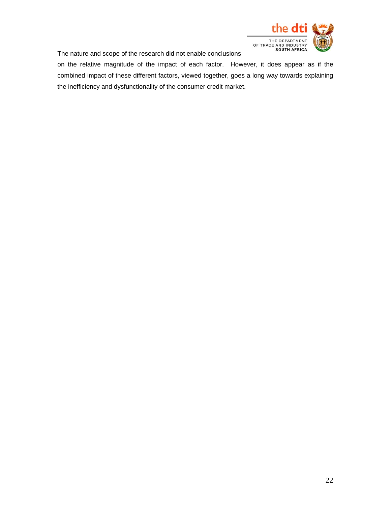

The nature and scope of the research did not enable conclusions

on the relative magnitude of the impact of each factor. However, it does appear as if the combined impact of these different factors, viewed together, goes a long way towards explaining the inefficiency and dysfunctionality of the consumer credit market.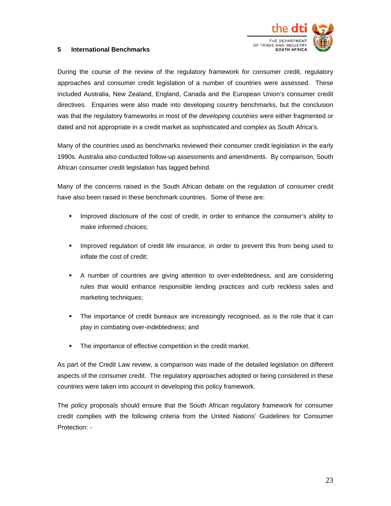

#### **5 International Benchmarks**

During the course of the review of the regulatory framework for consumer credit, regulatory approaches and consumer credit legislation of a number of countries were assessed. These included Australia, New Zealand, England, Canada and the European Union's consumer credit directives. Enquiries were also made into developing country benchmarks, but the conclusion was that the regulatory frameworks in most of the *developing countries* were either fragmented or dated and not appropriate in a credit market as sophisticated and complex as South Africa's.

Many of the countries used as benchmarks reviewed their consumer credit legislation in the early 1990s. Australia also conducted follow-up assessments and amendments. By comparison, South African consumer credit legislation has lagged behind.

Many of the concerns raised in the South African debate on the regulation of consumer credit have also been raised in these benchmark countries. Some of these are:

- **IMPROVED ASSET EXECUTE:** Improved disclosure of the cost of credit, in order to enhance the consumer's ability to make informed choices;
- **IMPROVED THE IMPROVED THE INSURGE FORM** IMPROVED **I**n Superson the ingustanced to inflate the cost of credit;
- A number of countries are giving attention to over-indebtedness, and are considering rules that would enhance responsible lending practices and curb reckless sales and marketing techniques;
- The importance of credit bureaux are increasingly recognised, as is the role that it can play in combating over-indebtedness; and
- **The importance of effective competition in the credit market.**

As part of the Credit Law review, a comparison was made of the detailed legislation on different aspects of the consumer credit. The regulatory approaches adopted or being considered in these countries were taken into account in developing this policy framework.

The policy proposals should ensure that the South African regulatory framework for consumer credit complies with the following criteria from the United Nations' Guidelines for Consumer Protection: -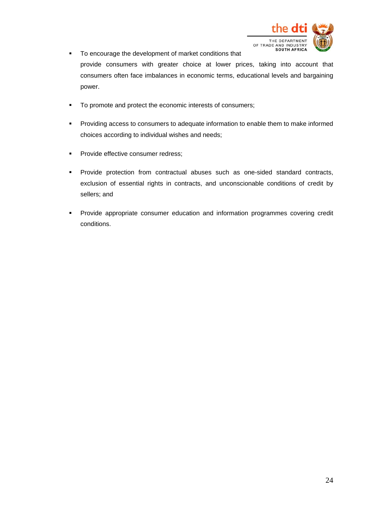

- To encourage the development of market conditions that provide consumers with greater choice at lower prices, taking into account that consumers often face imbalances in economic terms, educational levels and bargaining power.
- To promote and protect the economic interests of consumers;
- **Providing access to consumers to adequate information to enable them to make informed** choices according to individual wishes and needs;
- **Provide effective consumer redress;**
- Provide protection from contractual abuses such as one-sided standard contracts, exclusion of essential rights in contracts, and unconscionable conditions of credit by sellers; and
- Provide appropriate consumer education and information programmes covering credit conditions.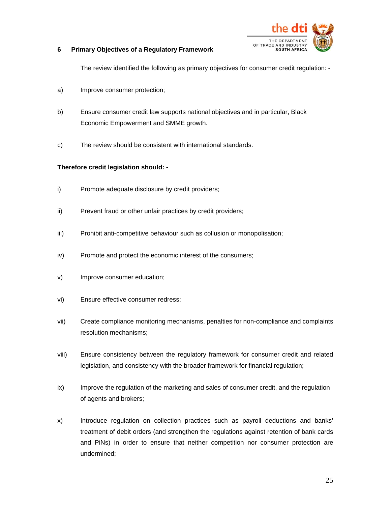

#### **6 Primary Objectives of a Regulatory Framework**

The review identified the following as primary objectives for consumer credit regulation: -

- a) Improve consumer protection;
- b) Ensure consumer credit law supports national objectives and in particular, Black Economic Empowerment and SMME growth.
- c) The review should be consistent with international standards.

#### **Therefore credit legislation should: -**

- i) Promote adequate disclosure by credit providers;
- ii) Prevent fraud or other unfair practices by credit providers;
- iii) Prohibit anti-competitive behaviour such as collusion or monopolisation;
- iv) Promote and protect the economic interest of the consumers;
- v) Improve consumer education;
- vi) Ensure effective consumer redress;
- vii) Create compliance monitoring mechanisms, penalties for non-compliance and complaints resolution mechanisms;
- viii) Ensure consistency between the regulatory framework for consumer credit and related legislation, and consistency with the broader framework for financial regulation;
- ix) Improve the regulation of the marketing and sales of consumer credit, and the regulation of agents and brokers;
- x) Introduce regulation on collection practices such as payroll deductions and banks' treatment of debit orders (and strengthen the regulations against retention of bank cards and PiNs) in order to ensure that neither competition nor consumer protection are undermined;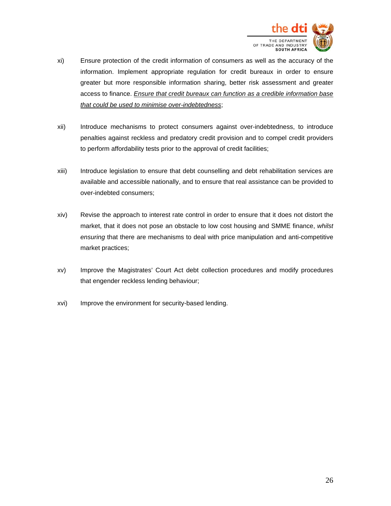

- xi) Ensure protection of the credit information of consumers as well as the accuracy of the information. Implement appropriate regulation for credit bureaux in order to ensure greater but more responsible information sharing, better risk assessment and greater access to finance. *Ensure that credit bureaux can function as a credible information base that could be used to minimise over-indebtedness*;
- xii) Introduce mechanisms to protect consumers against over-indebtedness, to introduce penalties against reckless and predatory credit provision and to compel credit providers to perform affordability tests prior to the approval of credit facilities;
- xiii) Introduce legislation to ensure that debt counselling and debt rehabilitation services are available and accessible nationally, and to ensure that real assistance can be provided to over-indebted consumers;
- xiv) Revise the approach to interest rate control in order to ensure that it does not distort the market, that it does not pose an obstacle to low cost housing and SMME finance, *whilst ensuring* that there are mechanisms to deal with price manipulation and anti-competitive market practices;
- xv) Improve the Magistrates' Court Act debt collection procedures and modify procedures that engender reckless lending behaviour;
- xvi) Improve the environment for security-based lending.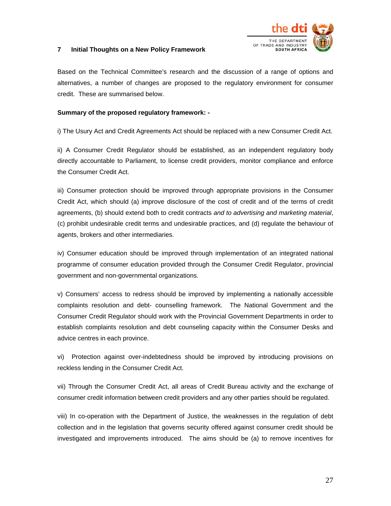

#### **7 Initial Thoughts on a New Policy Framework**

Based on the Technical Committee's research and the discussion of a range of options and alternatives, a number of changes are proposed to the regulatory environment for consumer credit. These are summarised below.

#### **Summary of the proposed regulatory framework: -**

i) The Usury Act and Credit Agreements Act should be replaced with a new Consumer Credit Act.

ii) A Consumer Credit Regulator should be established, as an independent regulatory body directly accountable to Parliament, to license credit providers, monitor compliance and enforce the Consumer Credit Act.

iii) Consumer protection should be improved through appropriate provisions in the Consumer Credit Act, which should (a) improve disclosure of the cost of credit and of the terms of credit agreements, (b) should extend both to credit contracts *and to advertising and marketing material*, (c) prohibit undesirable credit terms and undesirable practices, and (d) regulate the behaviour of agents, brokers and other intermediaries.

iv) Consumer education should be improved through implementation of an integrated national programme of consumer education provided through the Consumer Credit Regulator, provincial government and non-governmental organizations.

v) Consumers' access to redress should be improved by implementing a nationally accessible complaints resolution and debt- counselling framework. The National Government and the Consumer Credit Regulator should work with the Provincial Government Departments in order to establish complaints resolution and debt counseling capacity within the Consumer Desks and advice centres in each province.

vi) Protection against over-indebtedness should be improved by introducing provisions on reckless lending in the Consumer Credit Act.

vii) Through the Consumer Credit Act, all areas of Credit Bureau activity and the exchange of consumer credit information between credit providers and any other parties should be regulated.

viii) In co-operation with the Department of Justice, the weaknesses in the regulation of debt collection and in the legislation that governs security offered against consumer credit should be investigated and improvements introduced. The aims should be (a) to remove incentives for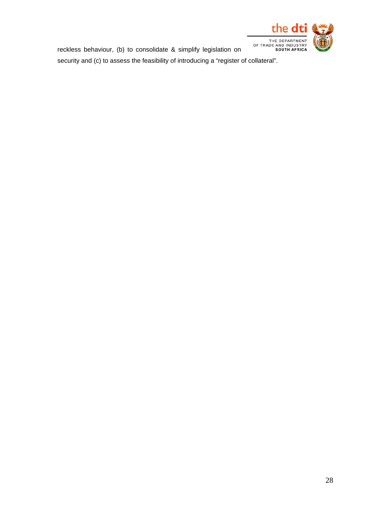

reckless behaviour, (b) to consolidate & simplify legislation on

security and (c) to assess the feasibility of introducing a "register of collateral".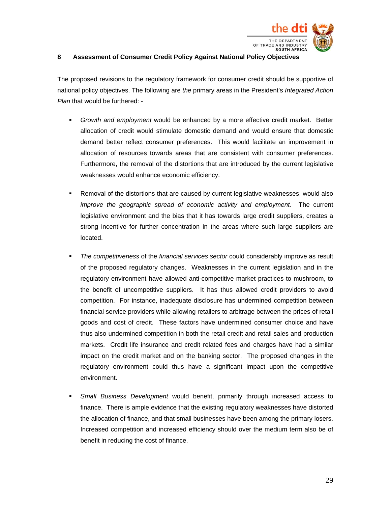

#### **8 Assessment of Consumer Credit Policy Against National Policy Objectives**

The proposed revisions to the regulatory framework for consumer credit should be supportive of national policy objectives. The following are *the* primary areas in the President's *Integrated Action Plan* that would be furthered: -

- *Growth and employment* would be enhanced by a more effective credit market. Better allocation of credit would stimulate domestic demand and would ensure that domestic demand better reflect consumer preferences. This would facilitate an improvement in allocation of resources towards areas that are consistent with consumer preferences. Furthermore, the removal of the distortions that are introduced by the current legislative weaknesses would enhance economic efficiency.
- Removal of the distortions that are caused by current legislative weaknesses, would also *improve the geographic spread of economic activity and employment*. The current legislative environment and the bias that it has towards large credit suppliers, creates a strong incentive for further concentration in the areas where such large suppliers are located.
- *The competitiveness* of the *financial services sector* could considerably improve as result of the proposed regulatory changes. Weaknesses in the current legislation and in the regulatory environment have allowed anti-competitive market practices to mushroom, to the benefit of uncompetitive suppliers. It has thus allowed credit providers to avoid competition. For instance, inadequate disclosure has undermined competition between financial service providers while allowing retailers to arbitrage between the prices of retail goods and cost of credit. These factors have undermined consumer choice and have thus also undermined competition in both the retail credit and retail sales and production markets. Credit life insurance and credit related fees and charges have had a similar impact on the credit market and on the banking sector. The proposed changes in the regulatory environment could thus have a significant impact upon the competitive environment.
- *Small Business Development* would benefit, primarily through increased access to finance. There is ample evidence that the existing regulatory weaknesses have distorted the allocation of finance, and that small businesses have been among the primary losers. Increased competition and increased efficiency should over the medium term also be of benefit in reducing the cost of finance.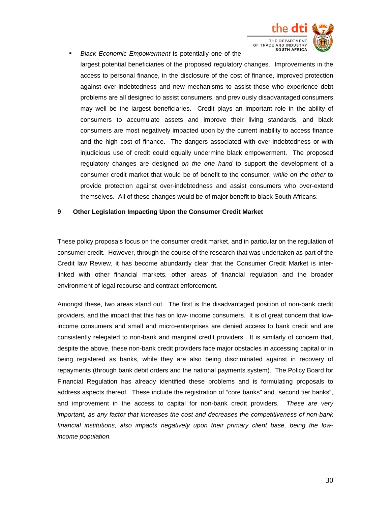

 *Black Economic Empowerment* is potentially one of the largest potential beneficiaries of the proposed regulatory changes. Improvements in the access to personal finance, in the disclosure of the cost of finance, improved protection against over-indebtedness and new mechanisms to assist those who experience debt problems are all designed to assist consumers, and previously disadvantaged consumers may well be the largest beneficiaries. Credit plays an important role in the ability of consumers to accumulate assets and improve their living standards, and black consumers are most negatively impacted upon by the current inability to access finance and the high cost of finance. The dangers associated with over-indebtedness or with injudicious use of credit could equally undermine black empowerment. The proposed regulatory changes are designed *on the one hand* to support the development of a consumer credit market that would be of benefit to the consumer, *while on the other* to provide protection against over-indebtedness and assist consumers who over-extend themselves. All of these changes would be of major benefit to black South Africans.

#### **9 Other Legislation Impacting Upon the Consumer Credit Market**

These policy proposals focus on the consumer credit market, and in particular on the regulation of consumer credit. However, through the course of the research that was undertaken as part of the Credit law Review, it has become abundantly clear that the Consumer Credit Market is interlinked with other financial markets, other areas of financial regulation and the broader environment of legal recourse and contract enforcement.

Amongst these, two areas stand out. The first is the disadvantaged position of non-bank credit providers, and the impact that this has on low- income consumers. It is of great concern that lowincome consumers and small and micro-enterprises are denied access to bank credit and are consistently relegated to non-bank and marginal credit providers. It is similarly of concern that, despite the above, these non-bank credit providers face major obstacles in accessing capital or in being registered as banks, while they are also being discriminated against in recovery of repayments (through bank debit orders and the national payments system). The Policy Board for Financial Regulation has already identified these problems and is formulating proposals to address aspects thereof. These include the registration of "core banks" and "second tier banks", and improvement in the access to capital for non-bank credit providers. *These are very important, as any factor that increases the cost and decreases the competitiveness of non-bank financial institutions, also impacts negatively upon their primary client base, being the lowincome population.*